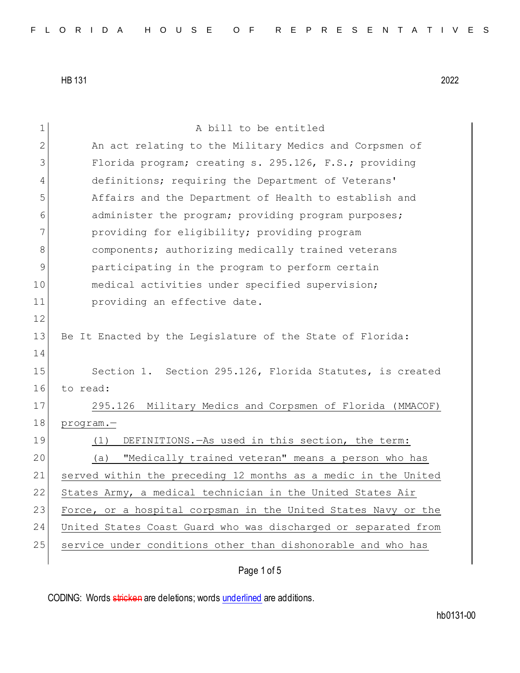1 A bill to be entitled 2 An act relating to the Military Medics and Corpsmen of 3 Florida program; creating s. 295.126, F.S.; providing 4 definitions; requiring the Department of Veterans' 5 Affairs and the Department of Health to establish and 6 6 administer the program; providing program purposes; 7 providing for eligibility; providing program 8 8 components; authorizing medically trained veterans 9 participating in the program to perform certain 10 medical activities under specified supervision; 11 **providing an effective date.** 12 13 Be It Enacted by the Legislature of the State of Florida: 14 15 Section 1. Section 295.126, Florida Statutes, is created 16 to read: 17 295.126 Military Medics and Corpsmen of Florida (MMACOF) 18 program.-19 (1) DEFINITIONS. —As used in this section, the term: 20 (a) "Medically trained veteran" means a person who has 21 served within the preceding 12 months as a medic in the United 22 States Army, a medical technician in the United States Air 23 Force, or a hospital corpsman in the United States Navy or the 24 United States Coast Guard who was discharged or separated from 25 service under conditions other than dishonorable and who has

Page 1 of 5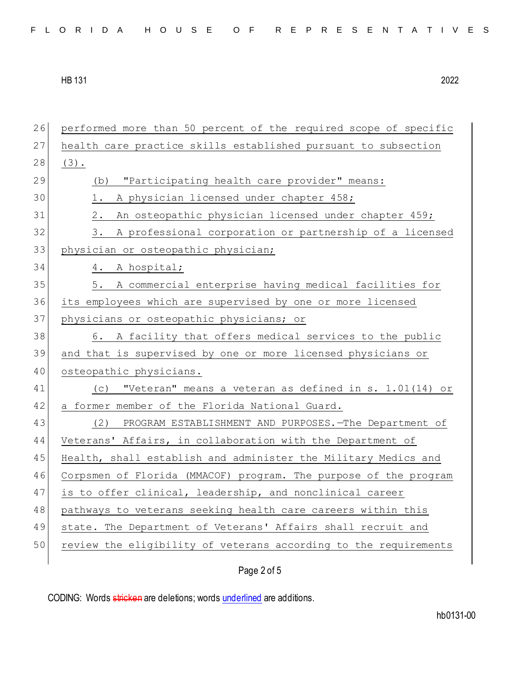|  |  |  | FLORIDA HOUSE OF REPRESENTATIVES |  |  |
|--|--|--|----------------------------------|--|--|
|--|--|--|----------------------------------|--|--|

| 26 | performed more than 50 percent of the required scope of specific |
|----|------------------------------------------------------------------|
| 27 | health care practice skills established pursuant to subsection   |
| 28 | $(3)$ .                                                          |
| 29 | "Participating health care provider" means:<br>(b)               |
| 30 | A physician licensed under chapter 458;<br>1.                    |
| 31 | An osteopathic physician licensed under chapter 459;<br>2.       |
| 32 | A professional corporation or partnership of a licensed<br>3.    |
| 33 | physician or osteopathic physician;                              |
| 34 | 4.<br>A hospital;                                                |
| 35 | 5.<br>A commercial enterprise having medical facilities for      |
| 36 | its employees which are supervised by one or more licensed       |
| 37 | physicians or osteopathic physicians; or                         |
| 38 | 6. A facility that offers medical services to the public         |
| 39 | and that is supervised by one or more licensed physicians or     |
| 40 | osteopathic physicians.                                          |
| 41 | "Veteran" means a veteran as defined in s. 1.01(14) or<br>(C)    |
| 42 | a former member of the Florida National Guard.                   |
| 43 | (2) PROGRAM ESTABLISHMENT AND PURPOSES. - The Department of      |
| 44 | Veterans' Affairs, in collaboration with the Department of       |
| 45 | Health, shall establish and administer the Military Medics and   |
| 46 | Corpsmen of Florida (MMACOF) program. The purpose of the program |
| 47 | is to offer clinical, leadership, and nonclinical career         |
| 48 | pathways to veterans seeking health care careers within this     |
| 49 | state. The Department of Veterans' Affairs shall recruit and     |
| 50 | review the eligibility of veterans according to the requirements |
|    |                                                                  |

Page 2 of 5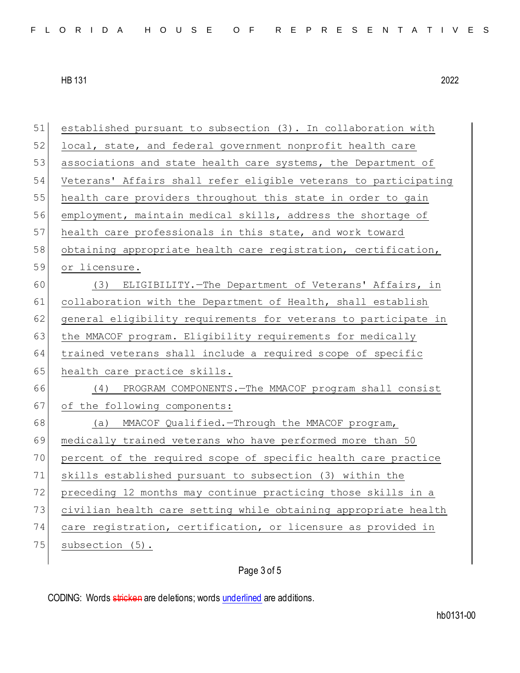| 51 | established pursuant to subsection (3). In collaboration with    |
|----|------------------------------------------------------------------|
| 52 | local, state, and federal government nonprofit health care       |
| 53 | associations and state health care systems, the Department of    |
| 54 | Veterans' Affairs shall refer eligible veterans to participating |
| 55 | health care providers throughout this state in order to gain     |
| 56 | employment, maintain medical skills, address the shortage of     |
| 57 | health care professionals in this state, and work toward         |
| 58 | obtaining appropriate health care registration, certification,   |
| 59 | or licensure.                                                    |
| 60 | (3) ELIGIBILITY. - The Department of Veterans' Affairs, in       |
| 61 | collaboration with the Department of Health, shall establish     |
| 62 | general eligibility requirements for veterans to participate in  |
| 63 | the MMACOF program. Eligibility requirements for medically       |
| 64 | trained veterans shall include a required scope of specific      |
| 65 | health care practice skills.                                     |
| 66 | PROGRAM COMPONENTS. - The MMACOF program shall consist<br>(4)    |
| 67 | of the following components:                                     |
| 68 | MMACOF Qualified. - Through the MMACOF program,<br>(a)           |
| 69 | medically trained veterans who have performed more than 50       |
| 70 | percent of the required scope of specific health care practice   |
| 71 | skills established pursuant to subsection (3) within the         |
| 72 | preceding 12 months may continue practicing those skills in a    |
| 73 | civilian health care setting while obtaining appropriate health  |
| 74 | care registration, certification, or licensure as provided in    |
| 75 | subsection (5).                                                  |
|    |                                                                  |

## Page 3 of 5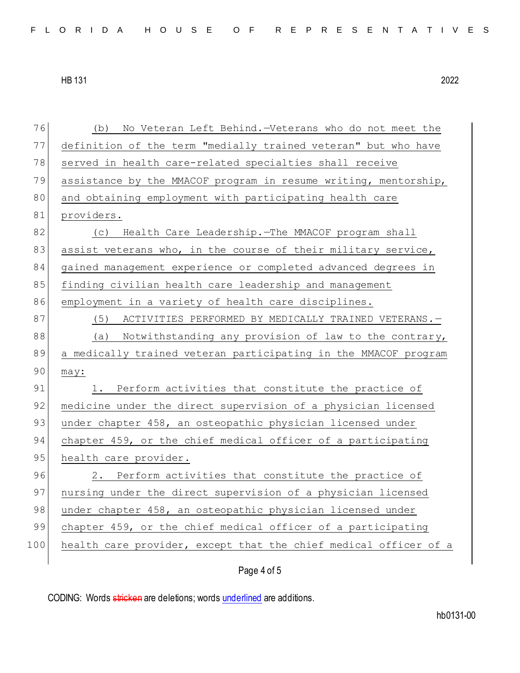| 76  | (b)<br>No Veteran Left Behind. - Veterans who do not meet the    |
|-----|------------------------------------------------------------------|
| 77  | definition of the term "medially trained veteran" but who have   |
| 78  | served in health care-related specialties shall receive          |
| 79  | assistance by the MMACOF program in resume writing, mentorship,  |
| 80  | and obtaining employment with participating health care          |
| 81  | providers.                                                       |
| 82  | (c) Health Care Leadership. The MMACOF program shall             |
| 83  | assist veterans who, in the course of their military service,    |
| 84  | gained management experience or completed advanced degrees in    |
| 85  | finding civilian health care leadership and management           |
| 86  | employment in a variety of health care disciplines.              |
| 87  | (5)<br>ACTIVITIES PERFORMED BY MEDICALLY TRAINED VETERANS. -     |
| 88  | (a) Notwithstanding any provision of law to the contrary,        |
| 89  | a medically trained veteran participating in the MMACOF program  |
| 90  | may:                                                             |
| 91  | 1. Perform activities that constitute the practice of            |
| 92  | medicine under the direct supervision of a physician licensed    |
| 93  | under chapter 458, an osteopathic physician licensed under       |
| 94  | chapter 459, or the chief medical officer of a participating     |
| 95  | health care provider.                                            |
| 96  | 2. Perform activities that constitute the practice of            |
| 97  | nursing under the direct supervision of a physician licensed     |
| 98  | under chapter 458, an osteopathic physician licensed under       |
| 99  | chapter 459, or the chief medical officer of a participating     |
| 100 | health care provider, except that the chief medical officer of a |
|     |                                                                  |

Page 4 of 5